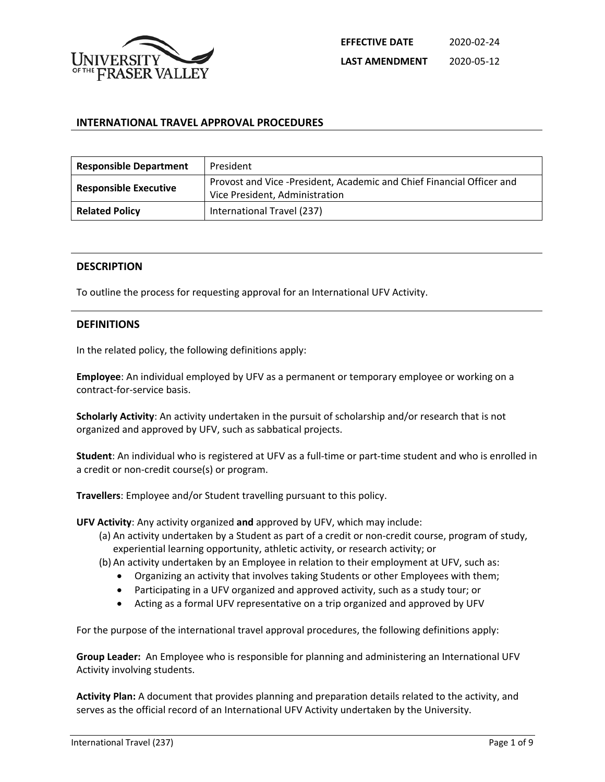

## **INTERNATIONAL TRAVEL APPROVAL PROCEDURES**

| <b>Responsible Department</b> | President                                                                                               |
|-------------------------------|---------------------------------------------------------------------------------------------------------|
| <b>Responsible Executive</b>  | Provost and Vice -President, Academic and Chief Financial Officer and<br>Vice President, Administration |
| <b>Related Policy</b>         | International Travel (237)                                                                              |

### **DESCRIPTION**

To outline the process for requesting approval for an International UFV Activity.

### **DEFINITIONS**

In the related policy, the following definitions apply:

**Employee**: An individual employed by UFV as a permanent or temporary employee or working on a contract-for-service basis.

**Scholarly Activity**: An activity undertaken in the pursuit of scholarship and/or research that is not organized and approved by UFV, such as sabbatical projects.

**Student**: An individual who is registered at UFV as a full-time or part-time student and who is enrolled in a credit or non-credit course(s) or program.

**Travellers**: Employee and/or Student travelling pursuant to this policy.

**UFV Activity**: Any activity organized **and** approved by UFV, which may include:

- (a) An activity undertaken by a Student as part of a credit or non-credit course, program of study, experiential learning opportunity, athletic activity, or research activity; or
- (b) An activity undertaken by an Employee in relation to their employment at UFV, such as:
	- Organizing an activity that involves taking Students or other Employees with them;
	- Participating in a UFV organized and approved activity, such as a study tour; or
	- Acting as a formal UFV representative on a trip organized and approved by UFV

For the purpose of the international travel approval procedures, the following definitions apply:

**Group Leader:** An Employee who is responsible for planning and administering an International UFV Activity involving students.

**Activity Plan:** A document that provides planning and preparation details related to the activity, and serves as the official record of an International UFV Activity undertaken by the University.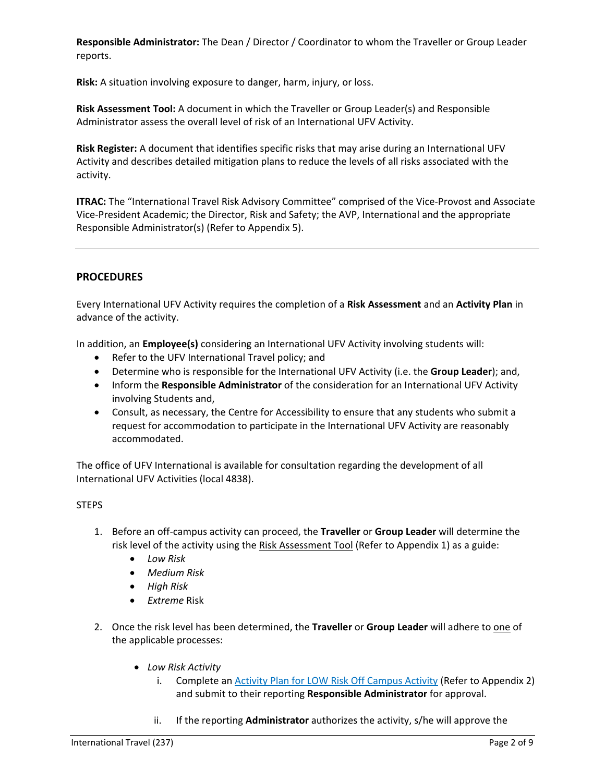**Responsible Administrator:** The Dean / Director / Coordinator to whom the Traveller or Group Leader reports.

**Risk:** A situation involving exposure to danger, harm, injury, or loss.

**Risk Assessment Tool:** A document in which the Traveller or Group Leader(s) and Responsible Administrator assess the overall level of risk of an International UFV Activity.

**Risk Register:** A document that identifies specific risks that may arise during an International UFV Activity and describes detailed mitigation plans to reduce the levels of all risks associated with the activity.

**ITRAC:** The "International Travel Risk Advisory Committee" comprised of the Vice-Provost and Associate Vice-President Academic; the Director, Risk and Safety; the AVP, International and the appropriate Responsible Administrator(s) (Refer to Appendix 5).

## **PROCEDURES**

Every International UFV Activity requires the completion of a **Risk Assessment** and an **Activity Plan** in advance of the activity.

In addition, an **Employee(s)** considering an International UFV Activity involving students will:

- Refer to the UFV International Travel policy; and
- Determine who is responsible for the International UFV Activity (i.e. the **Group Leader**); and,
- Inform the **Responsible Administrator** of the consideration for an International UFV Activity involving Students and,
- Consult, as necessary, the Centre for Accessibility to ensure that any students who submit a request for accommodation to participate in the International UFV Activity are reasonably accommodated.

The office of UFV International is available for consultation regarding the development of all International UFV Activities (local 4838).

## **STEPS**

- 1. Before an off-campus activity can proceed, the **Traveller** or **Group Leader** will determine the risk level of the activity using the Risk Assessment Tool (Refer to Appendix 1) as a guide:
	- *Low Risk*
	- *Medium Risk*
	- *High Risk*
	- *Extreme* Risk
- 2. Once the risk level has been determined, the **Traveller** or **Group Leader** will adhere to one of the applicable processes:
	- *Low Risk Activity*
		- i. Complete an Activity Plan for LOW Risk Off Campus Activity (Refer to Appendix 2) and submit to their reporting **Responsible Administrator** for approval.
		- ii. If the reporting **Administrator** authorizes the activity, s/he will approve the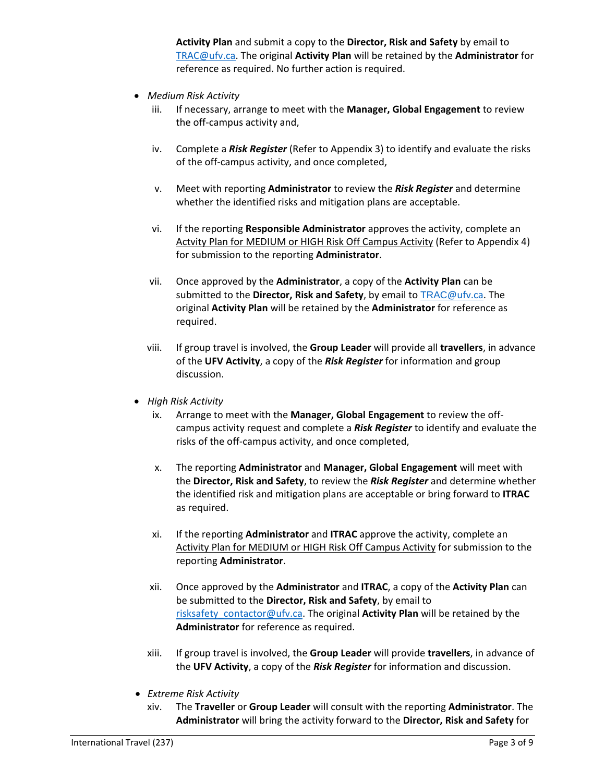**Activity Plan** and submit a copy to the **Director, Risk and Safety** by email to [TRAC@ufv.ca.](mailto:TRAC@ufv.ca) The original **Activity Plan** will be retained by the **Administrator** for reference as required. No further action is required.

- *Medium Risk Activity*
	- iii. If necessary, arrange to meet with the **Manager, Global Engagement** to review the off-campus activity and,
	- iv. Complete a *Risk Register* (Refer to Appendix 3) to identify and evaluate the risks of the off-campus activity, and once completed,
	- v. Meet with reporting **Administrator** to review the *Risk Register* and determine whether the identified risks and mitigation plans are acceptable.
	- vi. If the reporting **Responsible Administrator** approves the activity, complete an Actvity Plan for MEDIUM or HIGH Risk Off Campus Activity (Refer to Appendix 4) for submission to the reporting **Administrator**.
	- vii. Once approved by the **Administrator**, a copy of the **Activity Plan** can be submitted to the **Director, Risk and Safety**, by email to TRAC[@ufv.ca.](mailto:TRAC@ufv.ca) The original **Activity Plan** will be retained by the **Administrator** for reference as required.
	- viii. If group travel is involved, the **Group Leader** will provide all **travellers**, in advance of the **UFV Activity**, a copy of the *Risk Register* for information and group discussion.
- *High Risk Activity*
	- ix. Arrange to meet with the **Manager, Global Engagement** to review the offcampus activity request and complete a *Risk Register* to identify and evaluate the risks of the off-campus activity, and once completed,
	- x. The reporting **Administrator** and **Manager, Global Engagement** will meet with the **Director, Risk and Safety**, to review the *Risk Register* and determine whether the identified risk and mitigation plans are acceptable or bring forward to **ITRAC**  as required.
	- xi. If the reporting **Administrator** and **ITRAC** approve the activity, complete an Activity Plan for MEDIUM or HIGH Risk Off Campus Activity for submission to the reporting **Administrator**.
	- xii. Once approved by the **Administrator** and **ITRAC**, a copy of the **Activity Plan** can be submitted to the **Director, Risk and Safety**, by email to risksafety contactor@ufv.ca. The original **Activity Plan** will be retained by the **Administrator** for reference as required.
	- xiii. If group travel is involved, the **Group Leader** will provide **travellers**, in advance of the **UFV Activity**, a copy of the *Risk Register* for information and discussion.
- *Extreme Risk Activity*
	- xiv. The **Traveller** or **Group Leader** will consult with the reporting **Administrator**. The **Administrator** will bring the activity forward to the **Director, Risk and Safety** for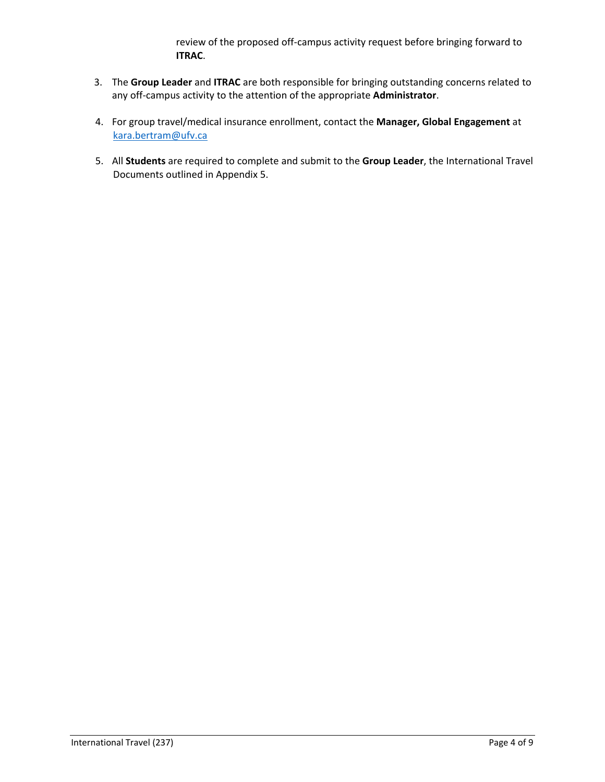review of the proposed off-campus activity request before bringing forward to **ITRAC**.

- 3. The **Group Leader** and **ITRAC** are both responsible for bringing outstanding concerns related to any off-campus activity to the attention of the appropriate **Administrator**.
- 4. For group travel/medical insurance enrollment, contact the **Manager, Global Engagement** at [kara.bertram@ufv.ca](mailto:kara.bertram@ufv.ca)
- 5. All **Students** are required to complete and submit to the **Group Leader**, the International Travel Documents outlined in Appendix 5.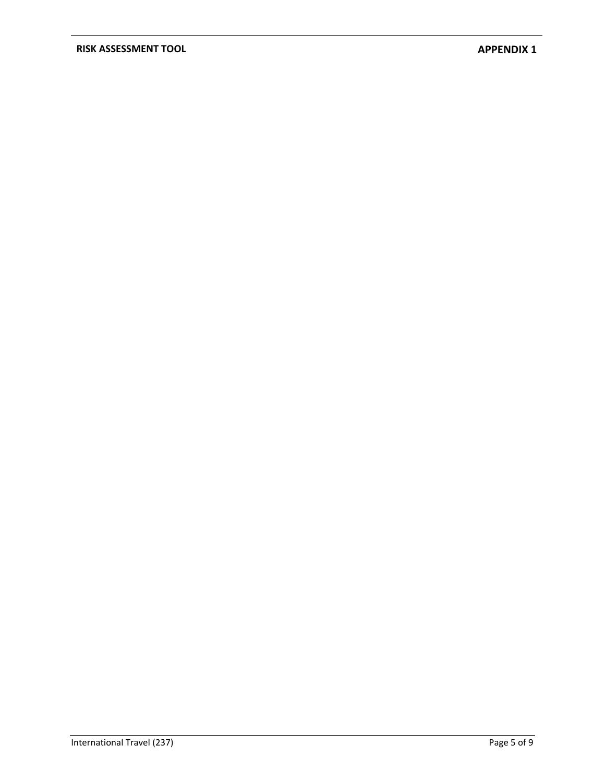## **RISK ASSESSMENT TOOL APPENDIX 1**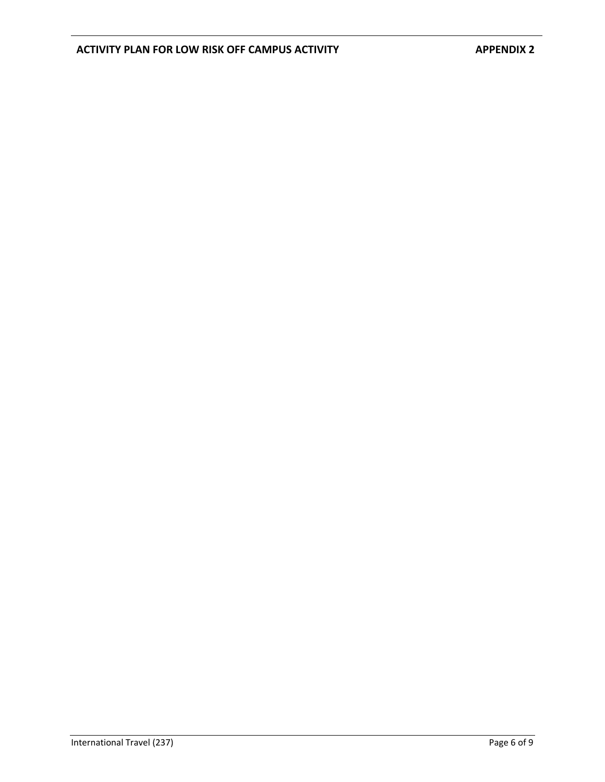# ACTIVITY PLAN FOR LOW RISK OFF CAMPUS ACTIVITY **APPENDIX 2**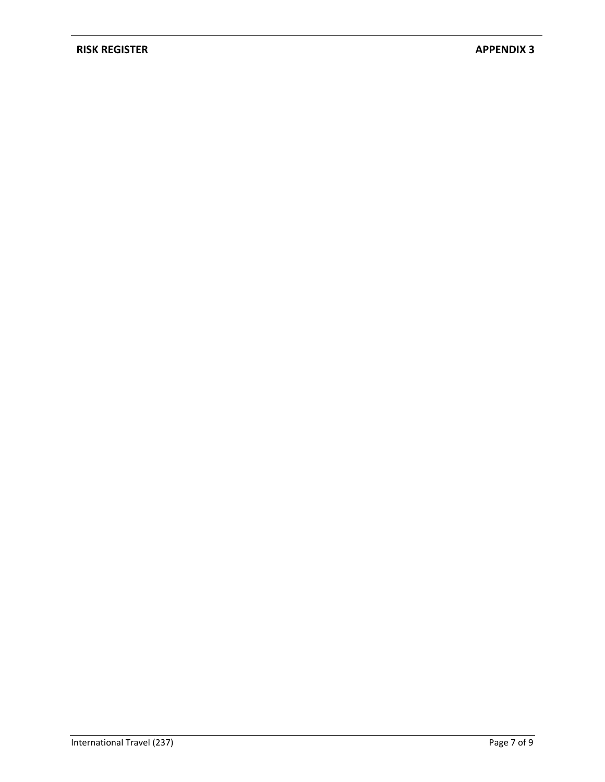## **RISK REGISTER APPENDIX 3**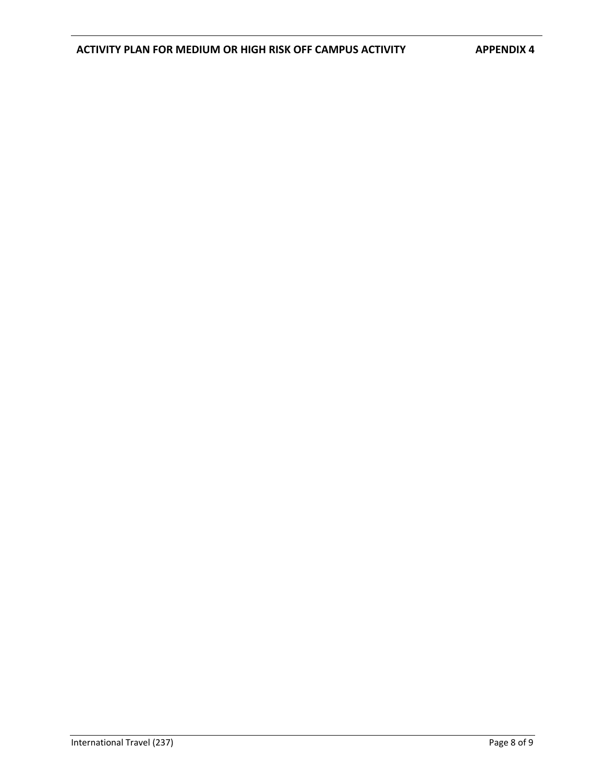# **ACTIVITY PLAN FOR MEDIUM OR HIGH RISK OFF CAMPUS ACTIVITY APPENDIX 4**